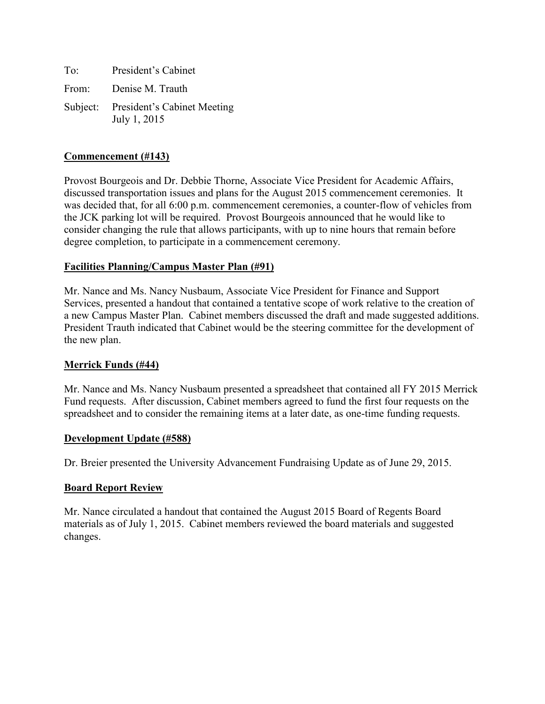To: President's Cabinet From: Denise M. Trauth Subject: President's Cabinet Meeting July 1, 2015

#### **Commencement (#143)**

Provost Bourgeois and Dr. Debbie Thorne, Associate Vice President for Academic Affairs, discussed transportation issues and plans for the August 2015 commencement ceremonies. It was decided that, for all 6:00 p.m. commencement ceremonies, a counter-flow of vehicles from the JCK parking lot will be required. Provost Bourgeois announced that he would like to consider changing the rule that allows participants, with up to nine hours that remain before degree completion, to participate in a commencement ceremony.

#### **Facilities Planning/Campus Master Plan (#91)**

Mr. Nance and Ms. Nancy Nusbaum, Associate Vice President for Finance and Support Services, presented a handout that contained a tentative scope of work relative to the creation of a new Campus Master Plan. Cabinet members discussed the draft and made suggested additions. President Trauth indicated that Cabinet would be the steering committee for the development of the new plan.

#### **Merrick Funds (#44)**

Mr. Nance and Ms. Nancy Nusbaum presented a spreadsheet that contained all FY 2015 Merrick Fund requests. After discussion, Cabinet members agreed to fund the first four requests on the spreadsheet and to consider the remaining items at a later date, as one-time funding requests.

#### **Development Update (#588)**

Dr. Breier presented the University Advancement Fundraising Update as of June 29, 2015.

# **Board Report Review**

Mr. Nance circulated a handout that contained the August 2015 Board of Regents Board materials as of July 1, 2015. Cabinet members reviewed the board materials and suggested changes.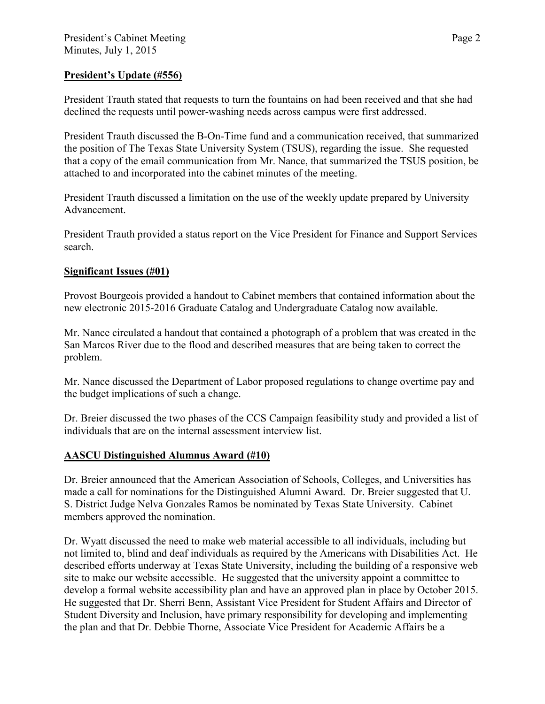# **President's Update (#556)**

President Trauth stated that requests to turn the fountains on had been received and that she had declined the requests until power-washing needs across campus were first addressed.

President Trauth discussed the B-On-Time fund and a communication received, that summarized the position of The Texas State University System (TSUS), regarding the issue. She requested that a copy of the email communication from Mr. Nance, that summarized the TSUS position, be attached to and incorporated into the cabinet minutes of the meeting.

President Trauth discussed a limitation on the use of the weekly update prepared by University Advancement.

President Trauth provided a status report on the Vice President for Finance and Support Services search.

# **Significant Issues (#01)**

Provost Bourgeois provided a handout to Cabinet members that contained information about the new electronic 2015-2016 Graduate Catalog and Undergraduate Catalog now available.

Mr. Nance circulated a handout that contained a photograph of a problem that was created in the San Marcos River due to the flood and described measures that are being taken to correct the problem.

Mr. Nance discussed the Department of Labor proposed regulations to change overtime pay and the budget implications of such a change.

Dr. Breier discussed the two phases of the CCS Campaign feasibility study and provided a list of individuals that are on the internal assessment interview list.

# **AASCU Distinguished Alumnus Award (#10)**

Dr. Breier announced that the American Association of Schools, Colleges, and Universities has made a call for nominations for the Distinguished Alumni Award. Dr. Breier suggested that U. S. District Judge Nelva Gonzales Ramos be nominated by Texas State University. Cabinet members approved the nomination.

Dr. Wyatt discussed the need to make web material accessible to all individuals, including but not limited to, blind and deaf individuals as required by the Americans with Disabilities Act. He described efforts underway at Texas State University, including the building of a responsive web site to make our website accessible. He suggested that the university appoint a committee to develop a formal website accessibility plan and have an approved plan in place by October 2015. He suggested that Dr. Sherri Benn, Assistant Vice President for Student Affairs and Director of Student Diversity and Inclusion, have primary responsibility for developing and implementing the plan and that Dr. Debbie Thorne, Associate Vice President for Academic Affairs be a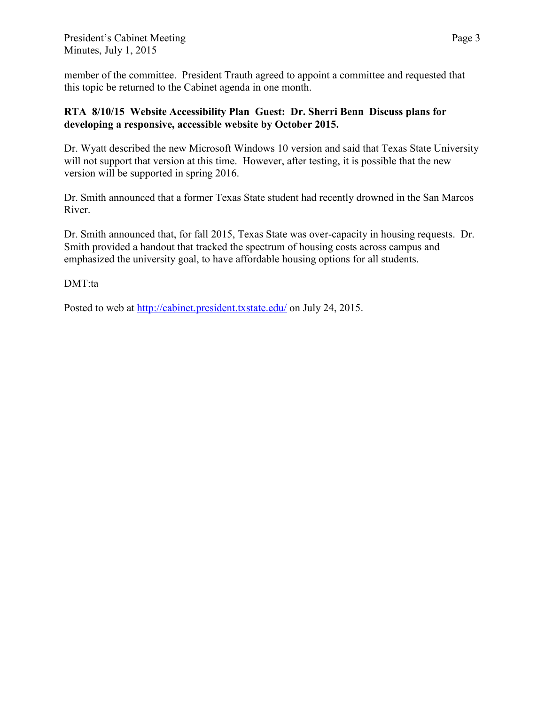member of the committee. President Trauth agreed to appoint a committee and requested that this topic be returned to the Cabinet agenda in one month.

# **RTA 8/10/15 Website Accessibility Plan Guest: Dr. Sherri Benn Discuss plans for developing a responsive, accessible website by October 2015.**

Dr. Wyatt described the new Microsoft Windows 10 version and said that Texas State University will not support that version at this time. However, after testing, it is possible that the new version will be supported in spring 2016.

Dr. Smith announced that a former Texas State student had recently drowned in the San Marcos River.

Dr. Smith announced that, for fall 2015, Texas State was over-capacity in housing requests. Dr. Smith provided a handout that tracked the spectrum of housing costs across campus and emphasized the university goal, to have affordable housing options for all students.

DMT:ta

Posted to web at<http://cabinet.president.txstate.edu/> on July 24, 2015.